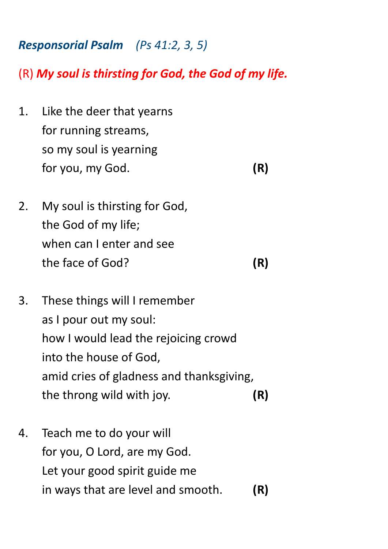## *Responsorial Psalm (Ps 41:2, 3, 5)*

(R) *My soul is thirsting for God, the God of my life.*

- 1. Like the deer that yearns for running streams, so my soul is yearning for you, my God. **(R)**
	-
- 2. My soul is thirsting for God, the God of my life; when can I enter and see the face of God? **(R)**
- 3. These things will I remember as I pour out my soul: how I would lead the rejoicing crowd into the house of God, amid cries of gladness and thanksgiving, the throng wild with joy. **(R)**
- 4. Teach me to do your will for you, O Lord, are my God. Let your good spirit guide me in ways that are level and smooth. **(R)**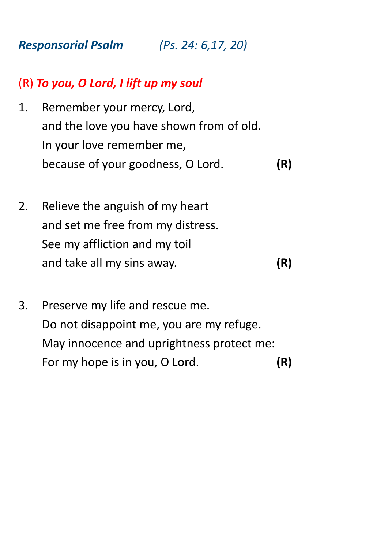*Responsorial Psalm (Ps. 24: 6,17, 20)*

## (R) *To you, O Lord, I lift up my soul*

- 1. Remember your mercy, Lord, and the love you have shown from of old. In your love remember me, because of your goodness, O Lord. **(R)**
- 2. Relieve the anguish of my heart and set me free from my distress. See my affliction and my toil and take all my sins away. **(R)**
- 3. Preserve my life and rescue me. Do not disappoint me, you are my refuge. May innocence and uprightness protect me: For my hope is in you, O Lord. **(R)**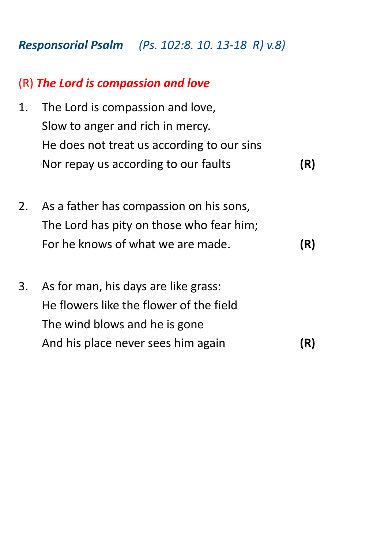*Responsorial Psalm (Ps. 102:8. 10. 13-18 R) v.8)*

## (R) *The Lord is compassion and love*

- 1. The Lord is compassion and love, Slow to anger and rich in mercy. He does not treat us according to our sins Nor repay us according to our faults **(R)**
- 2. As a father has compassion on his sons, The Lord has pity on those who fear him; For he knows of what we are made. **(R)**
- 3. As for man, his days are like grass: He flowers like the flower of the field The wind blows and he is gone And his place never sees him again **(R)**